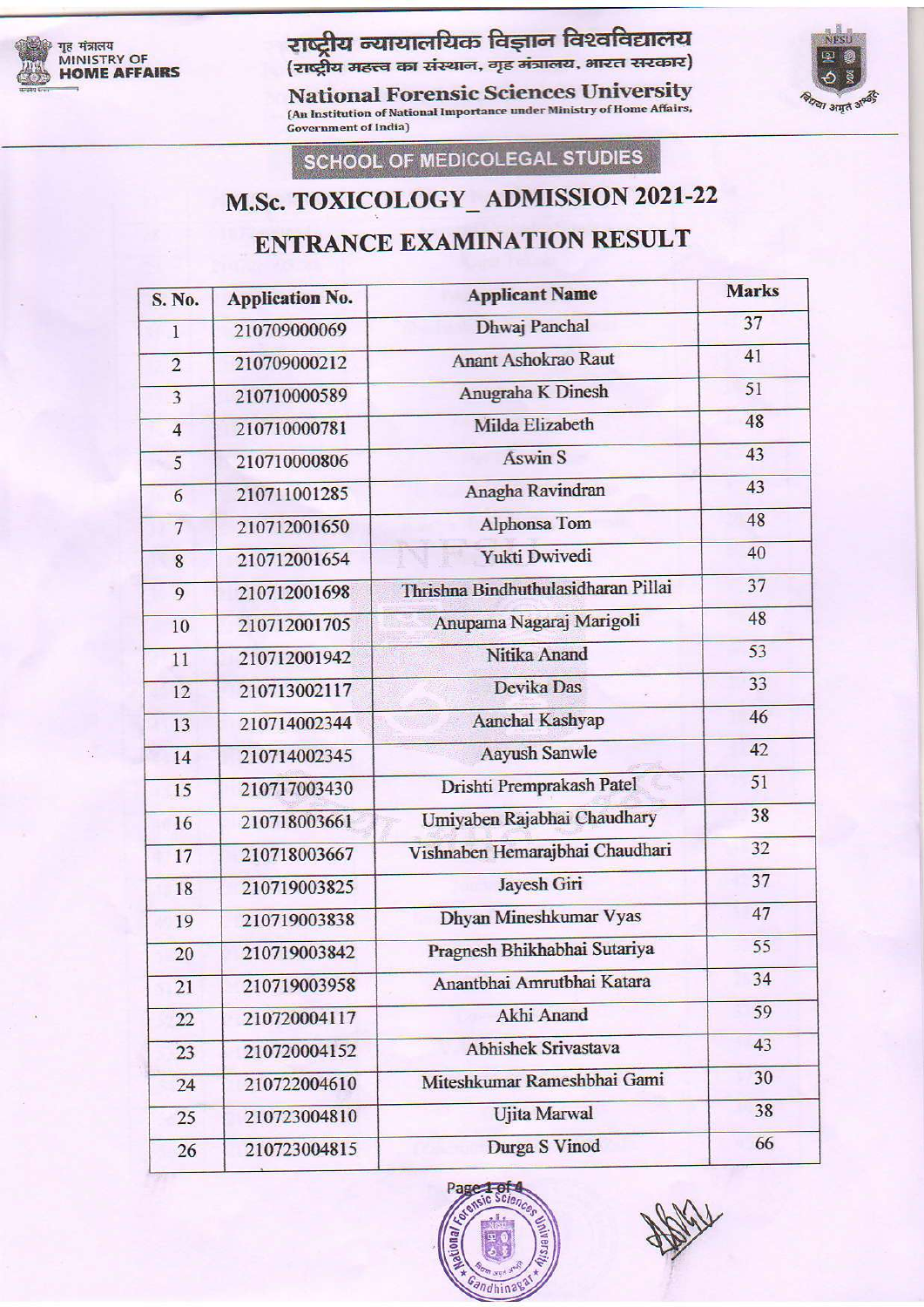

#### राष्ट्रीय न्यायालयिक विज्ञान विश्वविद्यालय द्राष्ट्राण - का बाद तका - कर्<br>(राष्ट्रीय महत्त्व का संस्थान, गृह मंत्रालय, भारत सरका

National Forensic Sciences University<br>(An Institution of National Importance under Ministry of Home Affairs, राष्ट्रीय न्यायालयिक विज्ञान विश्वविद्यालय<br>(राष्ट्रीय महत्त्व का संस्थान, गृह मंत्रालय, भारत सरकार)<br>National Forensic Sciences University<br>(An Institution of National Importance under Ministry of Home Affairs,<br>Government o



SCHOOL OF MEDICOLEGAL STUDIES

### M.Sc. TOXICOLOGY\_ADMISSION 2021-22

### ENTRANCE EXAMINATION RESULT

| 37<br>41                                  |
|-------------------------------------------|
|                                           |
|                                           |
| 51                                        |
| 48                                        |
| 43                                        |
| 43                                        |
| 48                                        |
| 40                                        |
| 37<br>Thrishna Bindhuthulasidharan Pillai |
| 48<br>Anupama Nagaraj Marigoli            |
| 53                                        |
| 33                                        |
| 46                                        |
| 42                                        |
| 51<br>Drishti Premprakash Patel           |
| 38<br>Umiyaben Rajabhai Chaudhary         |
| 32<br>Vishnaben Hemarajbhai Chaudhari     |
| 37                                        |
| 47<br>Dhyan Mineshkumar Vyas              |
| 55<br>Pragnesh Bhikhabhai Sutariya        |
| 34<br>Anantbhai Amrutbhai Katara          |
| 59                                        |
| 43<br><b>Abhishek Srivastava</b>          |
| 30<br>Miteshkumar Rameshbhai Gami         |
| 38                                        |
| 66                                        |
|                                           |

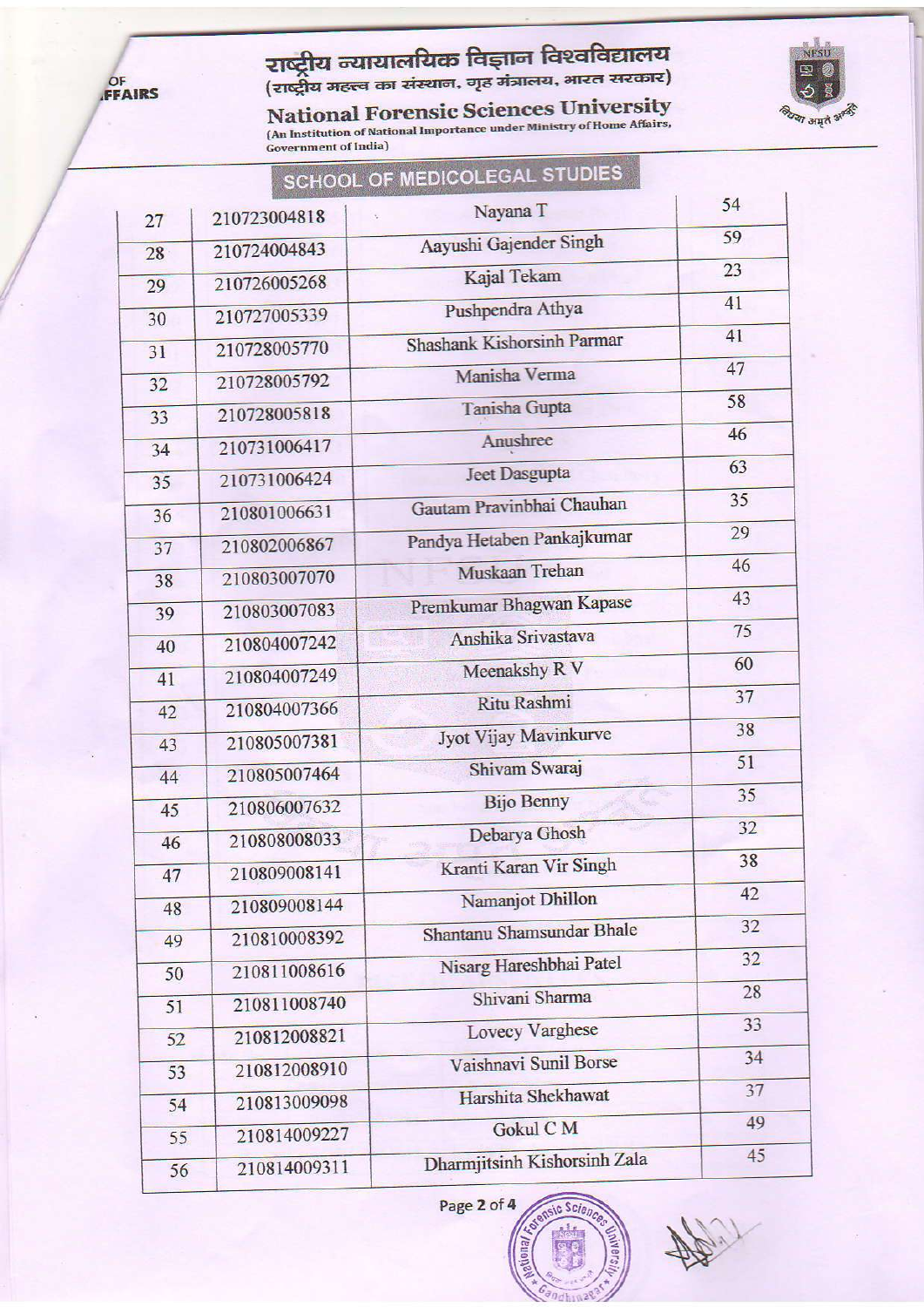

# <mark>राष्ट्रीय न्यायालयिक विज्ञान विश्वविद्यालय</mark><br>(राष्ट्रीय महत्त्व का संस्थान, गृह मंत्रालय, भारत सरकार)

National Forensic Sciences University<br>
(An Institution of National Importance under Ministry of Home Affairs,<br>
Government of India)



|    |              | SCHOOL OF MEDICOLEGAL STUDIES |    |
|----|--------------|-------------------------------|----|
| 27 | 210723004818 | Nayana T                      | 54 |
| 28 | 210724004843 | Aayushi Gajender Singh        | 59 |
| 29 | 210726005268 | Kajal Tekam                   | 23 |
| 30 | 210727005339 | Pushpendra Athya              | 41 |
| 31 | 210728005770 | Shashank Kishorsinh Parmar    | 41 |
| 32 | 210728005792 | Manisha Verma                 | 47 |
|    | 210728005818 | Tanisha Gupta                 | 58 |
| 33 | 210731006417 | Anushree                      | 46 |
| 34 | 210731006424 | <b>Jeet Dasgupta</b>          | 63 |
| 35 |              | Gautam Pravinbhai Chauhan     | 35 |
| 36 | 210801006631 | Pandya Hetaben Pankajkumar    | 29 |
| 37 | 210802006867 | Muskaan Trehan                | 46 |
| 38 | 210803007070 |                               | 43 |
| 39 | 210803007083 | Premkumar Bhagwan Kapase      | 75 |
| 40 | 210804007242 | Anshika Srivastava            | 60 |
| 41 | 210804007249 | Meenakshy R V                 | 37 |
| 42 | 210804007366 | Ritu Rashmi                   |    |
| 43 | 210805007381 | Jyot Vijay Mavinkurve         | 38 |
| 44 | 210805007464 | Shivam Swaraj                 | 51 |
| 45 | 210806007632 | <b>Bijo Benny</b>             | 35 |
| 46 | 210808008033 | Debarya Ghosh                 | 32 |
| 47 | 210809008141 | Kranti Karan Vir Singh        | 38 |
| 48 | 210809008144 | Namanjot Dhillon              | 42 |
| 49 | 210810008392 | Shantanu Shamsundar Bhale     | 32 |
| 50 | 210811008616 | Nisarg Hareshbhai Patel       | 32 |
| 51 | 210811008740 | Shivani Sharma                | 28 |
| 52 | 210812008821 | <b>Lovecy Varghese</b>        | 33 |
| 53 | 210812008910 | Vaishnavi Sunil Borse         | 34 |
|    | 210813009098 | Harshita Shekhawat            | 37 |
| 54 | 210814009227 | Gokul CM                      | 49 |
| 55 |              | Dharmjitsinh Kishorsinh Zala  | 45 |
| 56 | 210814009311 |                               |    |

Page 2 of 4 nsic Scien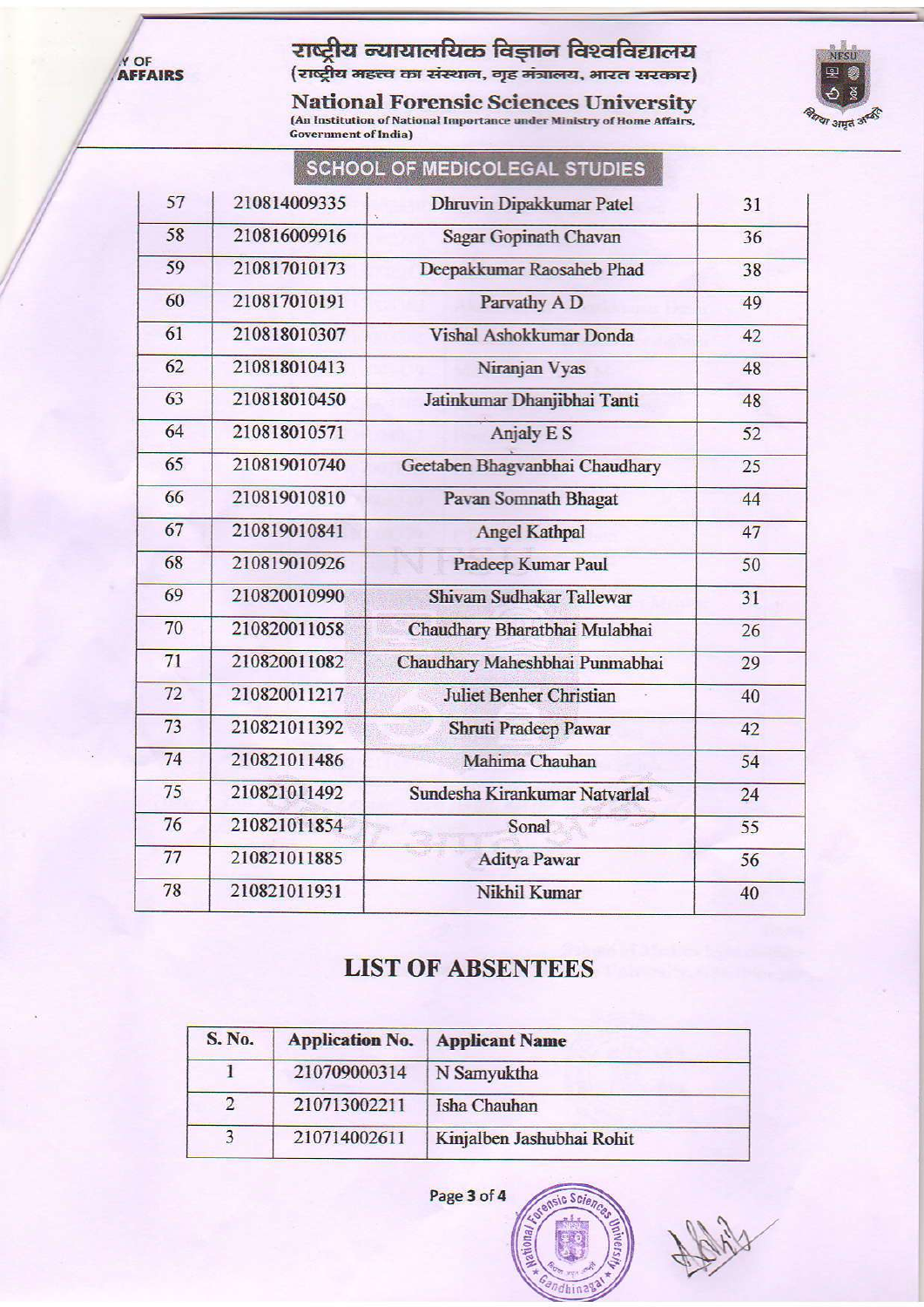Y OF AFFAIRS

## **राष्ट्रीय न्यायालयिक विज्ञान विश्वविद्यालय**<br>(राष्ट्रीय महत्त्व का संस्थान, गृह मंत्रालय, भारत सरकार)

National Forensic Sciences University<br>
(An Institution of National Importance under Ministry of Home Affairs,<br>
Government of India)



| 57 | 210814009335 | <b>Dhruvin Dipakkumar Patel</b> | 31 |
|----|--------------|---------------------------------|----|
| 58 | 210816009916 | Sagar Gopinath Chavan           | 36 |
| 59 | 210817010173 | Deepakkumar Raosaheb Phad       | 38 |
| 60 | 210817010191 | Parvathy A D                    | 49 |
| 61 | 210818010307 | Vishal Ashokkumar Donda         | 42 |
| 62 | 210818010413 | Niranjan Vyas                   | 48 |
| 63 | 210818010450 | Jatinkumar Dhanjibhai Tanti     | 48 |
| 64 | 210818010571 | <b>Anjaly E S</b>               | 52 |
| 65 | 210819010740 | Geetaben Bhagvanbhai Chaudhary  | 25 |
| 66 | 210819010810 | Pavan Somnath Bhagat            | 44 |
| 67 | 210819010841 | <b>Angel Kathpal</b>            | 47 |
| 68 | 210819010926 | Pradeep Kumar Paul              | 50 |
| 69 | 210820010990 | Shivam Sudhakar Tallewar        | 31 |
| 70 | 210820011058 | Chaudhary Bharatbhai Mulabhai   | 26 |
| 71 | 210820011082 | Chaudhary Maheshbhai Punmabhai  | 29 |
| 72 | 210820011217 | <b>Juliet Benher Christian</b>  | 40 |
| 73 | 210821011392 | Shruti Pradeep Pawar            | 42 |
| 74 | 210821011486 | Mahima Chauhan                  | 54 |
| 75 | 210821011492 | Sundesha Kirankumar Natvarlal   | 24 |
| 76 | 210821011854 | Sonal                           | 55 |
| 77 | 210821011885 | <b>Aditya Pawar</b>             | 56 |
| 78 | 210821011931 | Nikhil Kumar                    | 40 |

### SCHOOL OF MEDICOLEGAL STUDIES

#### **LIST OF ABSENTEES**

| S. No.         | <b>Application No.</b> | <b>Applicant Name</b>     |  |
|----------------|------------------------|---------------------------|--|
|                | 210709000314           | N Samyuktha               |  |
| $\overline{2}$ | 210713002211           | Isha Chauhan              |  |
|                | 210714002611           | Kinjalben Jashubhai Rohit |  |

Page 3 of 4

sic Scie